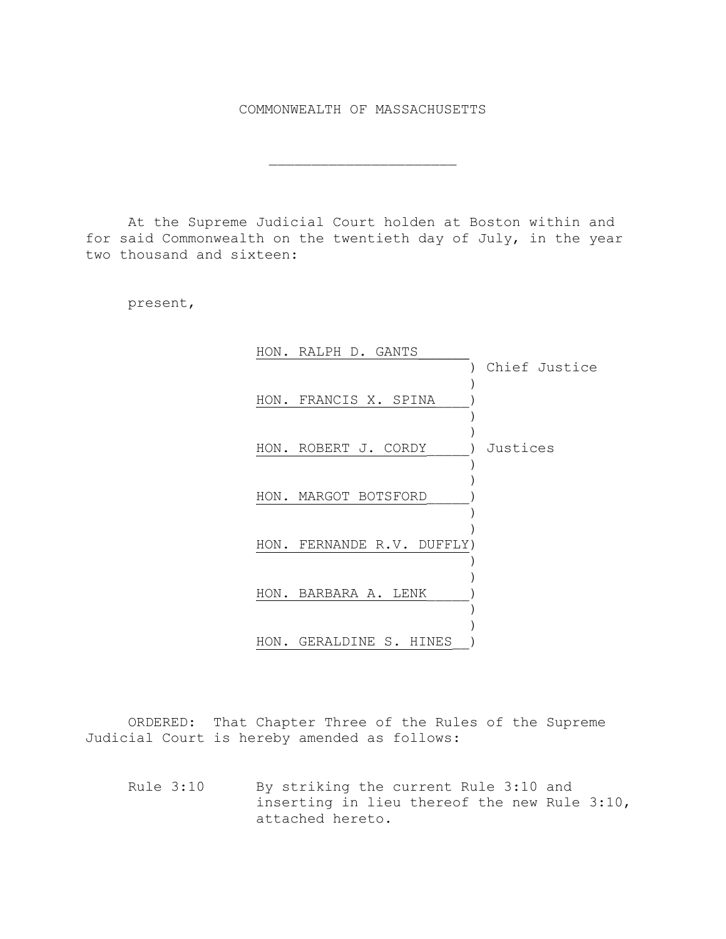#### COMMONWEALTH OF MASSACHUSETTS

At the Supreme Judicial Court holden at Boston within and for said Commonwealth on the twentieth day of July, in the year two thousand and sixteen:

present,

| Chief Justice |
|---------------|
|               |
|               |
|               |
|               |
| Justices      |
|               |
|               |
|               |
|               |
|               |
|               |
|               |
|               |
|               |
|               |
|               |
|               |
|               |

ORDERED: That Chapter Three of the Rules of the Supreme Judicial Court is hereby amended as follows:

Rule 3:10 By striking the current Rule 3:10 and inserting in lieu thereof the new Rule 3:10, attached hereto.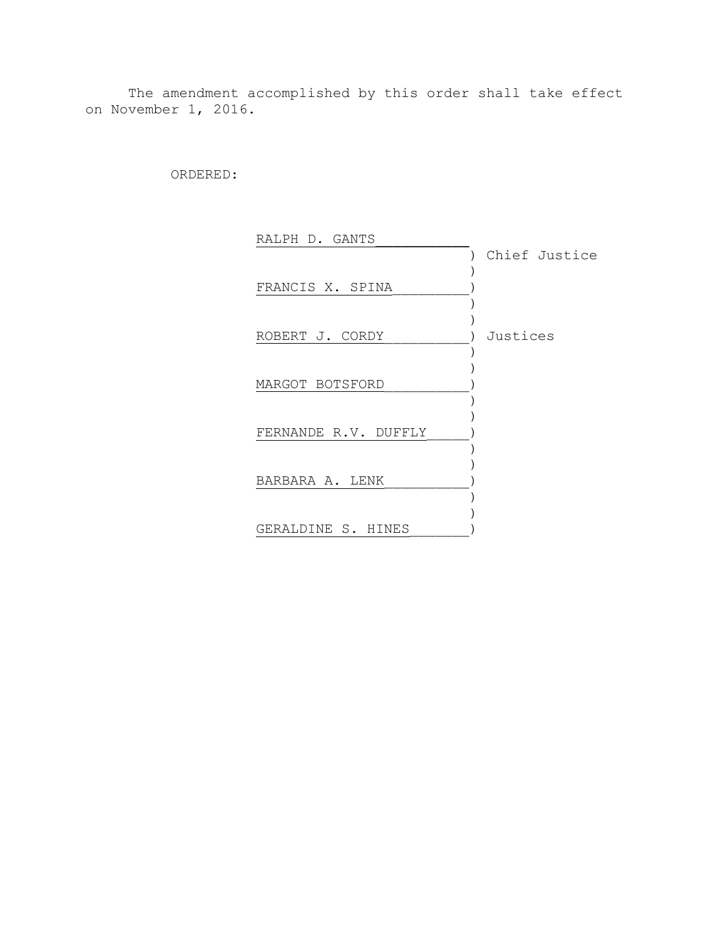The amendment accomplished by this order shall take effect on November 1, 2016.

ORDERED:

| Chief Justice |          |
|---------------|----------|
|               | Justices |
|               |          |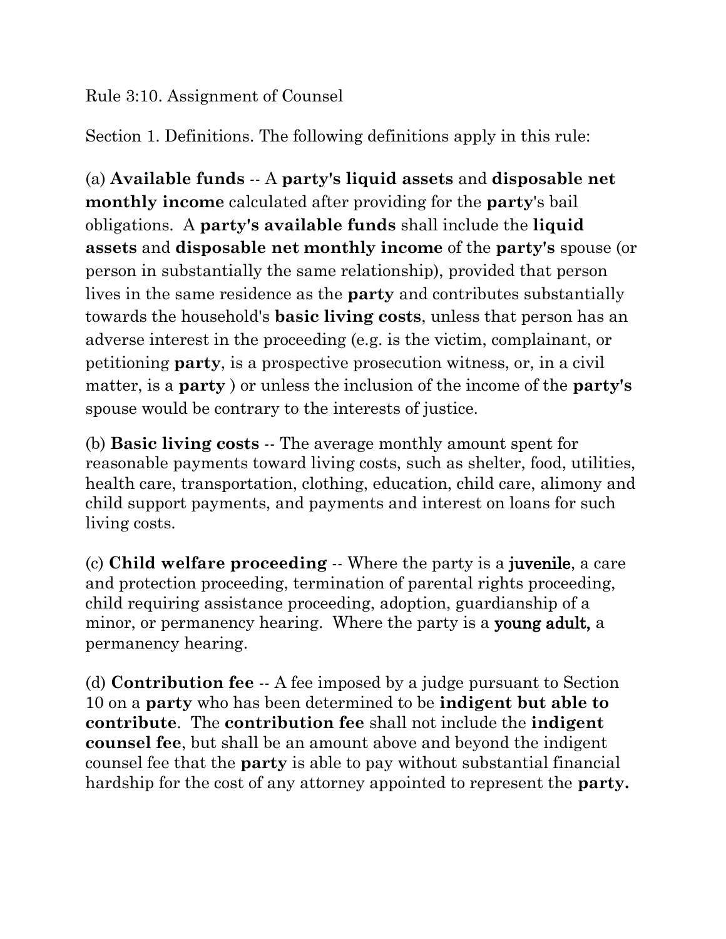# Rule 3:10. Assignment of Counsel

Section 1. Definitions. The following definitions apply in this rule:

(a) **Available funds** -- A **party's liquid assets** and **disposable net monthly income** calculated after providing for the **party**'s bail obligations. A **party's available funds** shall include the **liquid assets** and **disposable net monthly income** of the **party's** spouse (or person in substantially the same relationship), provided that person lives in the same residence as the **party** and contributes substantially towards the household's **basic living costs**, unless that person has an adverse interest in the proceeding (e.g. is the victim, complainant, or petitioning **party**, is a prospective prosecution witness, or, in a civil matter, is a **party** ) or unless the inclusion of the income of the **party's** spouse would be contrary to the interests of justice.

(b) **Basic living costs** -- The average monthly amount spent for reasonable payments toward living costs, such as shelter, food, utilities, health care, transportation, clothing, education, child care, alimony and child support payments, and payments and interest on loans for such living costs.

(c) **Child welfare proceeding** -- Where the party is a juvenile, a care and protection proceeding, termination of parental rights proceeding, child requiring assistance proceeding, adoption, guardianship of a minor, or permanency hearing. Where the party is a young adult, a permanency hearing.

(d) **Contribution fee** -- A fee imposed by a judge pursuant to Section 10 on a **party** who has been determined to be **indigent but able to contribute**. The **contribution fee** shall not include the **indigent counsel fee**, but shall be an amount above and beyond the indigent counsel fee that the **party** is able to pay without substantial financial hardship for the cost of any attorney appointed to represent the **party.**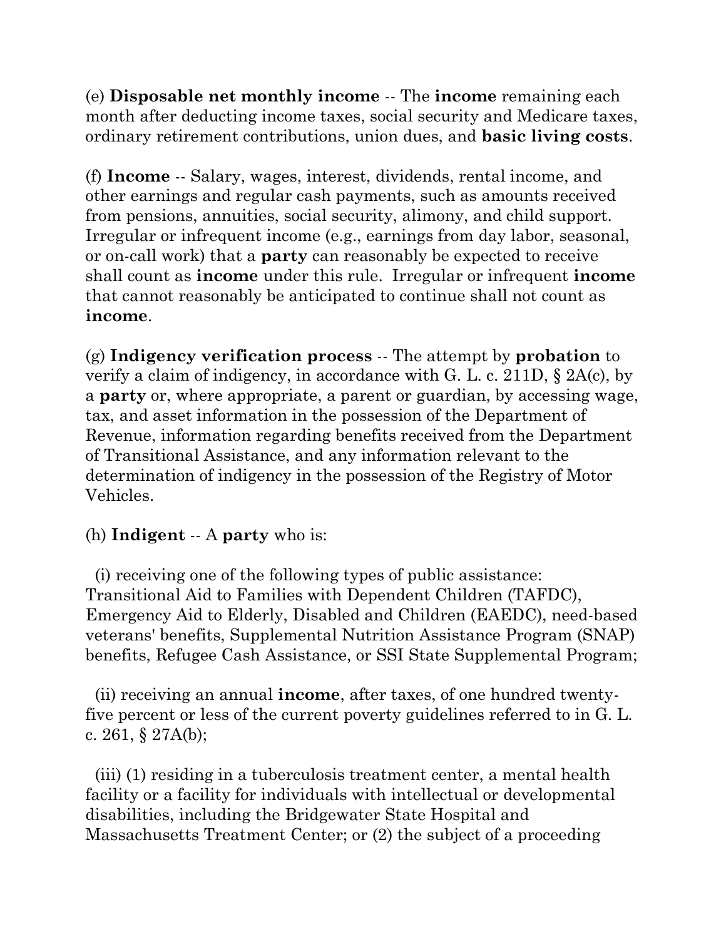(e) **Disposable net monthly income** -- The **income** remaining each month after deducting income taxes, social security and Medicare taxes, ordinary retirement contributions, union dues, and **basic living costs**.

(f) **Income** -- Salary, wages, interest, dividends, rental income, and other earnings and regular cash payments, such as amounts received from pensions, annuities, social security, alimony, and child support. Irregular or infrequent income (e.g., earnings from day labor, seasonal, or on-call work) that a **party** can reasonably be expected to receive shall count as **income** under this rule. Irregular or infrequent **income** that cannot reasonably be anticipated to continue shall not count as **income**.

(g) **Indigency verification process** -- The attempt by **probation** to verify a claim of indigency, in accordance with G. L. c. 211D, § 2A(c), by a **party** or, where appropriate, a parent or guardian, by accessing wage, tax, and asset information in the possession of the Department of Revenue, information regarding benefits received from the Department of Transitional Assistance, and any information relevant to the determination of indigency in the possession of the Registry of Motor Vehicles.

## (h) **Indigent** -- A **party** who is:

 (i) receiving one of the following types of public assistance: Transitional Aid to Families with Dependent Children (TAFDC), Emergency Aid to Elderly, Disabled and Children (EAEDC), need-based veterans' benefits, Supplemental Nutrition Assistance Program (SNAP) benefits, Refugee Cash Assistance, or SSI State Supplemental Program;

 (ii) receiving an annual **income**, after taxes, of one hundred twentyfive percent or less of the current poverty guidelines referred to in G. L. c. 261, § 27A(b);

 (iii) (1) residing in a tuberculosis treatment center, a mental health facility or a facility for individuals with intellectual or developmental disabilities, including the Bridgewater State Hospital and Massachusetts Treatment Center; or (2) the subject of a proceeding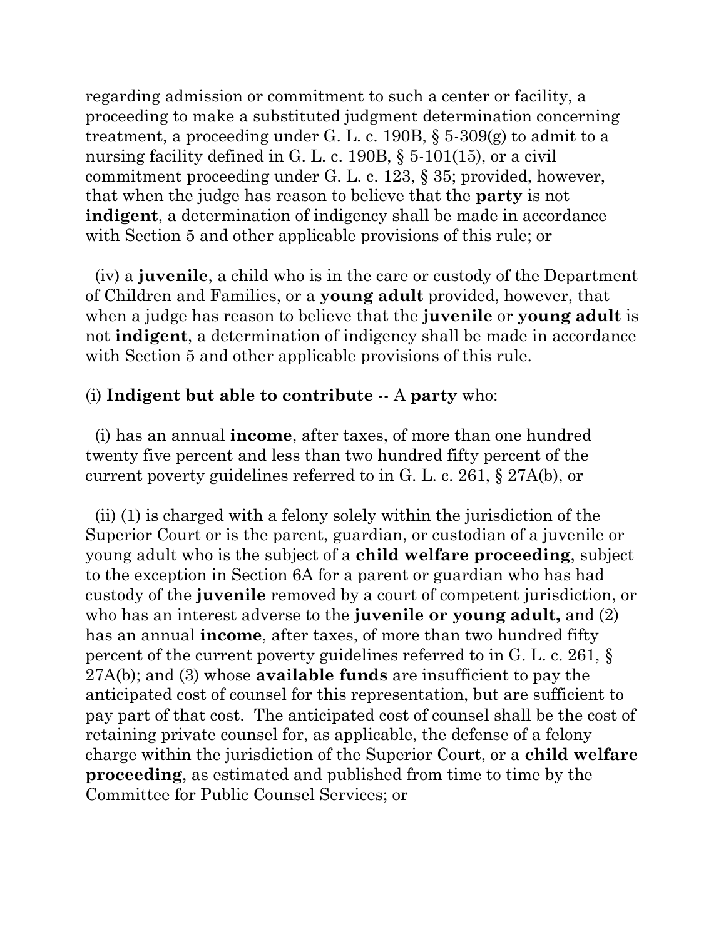regarding admission or commitment to such a center or facility, a proceeding to make a substituted judgment determination concerning treatment, a proceeding under G. L. c. 190B,  $\S 5\text{-}309(g)$  to admit to a nursing facility defined in G. L. c. 190B, § 5-101(15), or a civil commitment proceeding under G. L. c. 123, § 35; provided, however, that when the judge has reason to believe that the **party** is not **indigent**, a determination of indigency shall be made in accordance with Section 5 and other applicable provisions of this rule; or

 (iv) a **juvenile**, a child who is in the care or custody of the Department of Children and Families, or a **young adult** provided, however, that when a judge has reason to believe that the **juvenile** or **young adult** is not **indigent**, a determination of indigency shall be made in accordance with Section 5 and other applicable provisions of this rule.

### (i) **Indigent but able to contribute** -- A **party** who:

 (i) has an annual **income**, after taxes, of more than one hundred twenty five percent and less than two hundred fifty percent of the current poverty guidelines referred to in G. L. c. 261, § 27A(b), or

 (ii) (1) is charged with a felony solely within the jurisdiction of the Superior Court or is the parent, guardian, or custodian of a juvenile or young adult who is the subject of a **child welfare proceeding**, subject to the exception in Section 6A for a parent or guardian who has had custody of the **juvenile** removed by a court of competent jurisdiction, or who has an interest adverse to the **juvenile or young adult,** and (2) has an annual **income**, after taxes, of more than two hundred fifty percent of the current poverty guidelines referred to in G. L. c. 261, § 27A(b); and (3) whose **available funds** are insufficient to pay the anticipated cost of counsel for this representation, but are sufficient to pay part of that cost. The anticipated cost of counsel shall be the cost of retaining private counsel for, as applicable, the defense of a felony charge within the jurisdiction of the Superior Court, or a **child welfare proceeding**, as estimated and published from time to time by the Committee for Public Counsel Services; or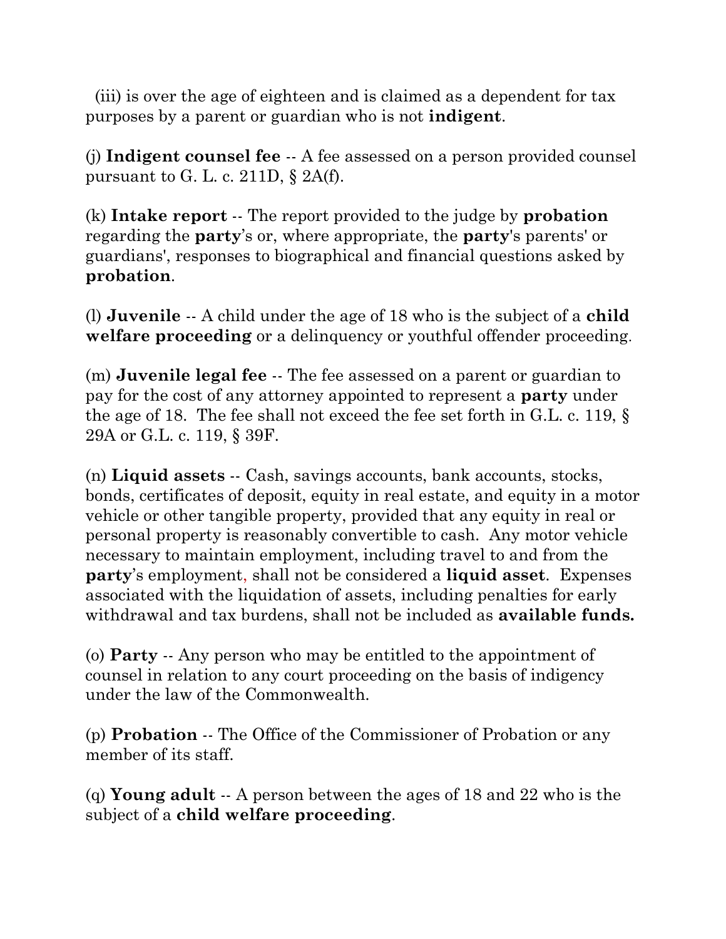(iii) is over the age of eighteen and is claimed as a dependent for tax purposes by a parent or guardian who is not **indigent**.

(j) **Indigent counsel fee** -- A fee assessed on a person provided counsel pursuant to G. L. c. 211D,  $\S$  2A(f).

(k) **Intake report** -- The report provided to the judge by **probation** regarding the **party**'s or, where appropriate, the **party**'s parents' or guardians', responses to biographical and financial questions asked by **probation**.

(l) **Juvenile** -- A child under the age of 18 who is the subject of a **child welfare proceeding** or a delinquency or youthful offender proceeding.

(m) **Juvenile legal fee** -- The fee assessed on a parent or guardian to pay for the cost of any attorney appointed to represent a **party** under the age of 18. The fee shall not exceed the fee set forth in G.L. c. 119, § 29A or G.L. c. 119, § 39F.

(n) **Liquid assets** -- Cash, savings accounts, bank accounts, stocks, bonds, certificates of deposit, equity in real estate, and equity in a motor vehicle or other tangible property, provided that any equity in real or personal property is reasonably convertible to cash. Any motor vehicle necessary to maintain employment, including travel to and from the **party**'s employment, shall not be considered a **liquid asset**. Expenses associated with the liquidation of assets, including penalties for early withdrawal and tax burdens, shall not be included as **available funds.** 

(o) **Party** -- Any person who may be entitled to the appointment of counsel in relation to any court proceeding on the basis of indigency under the law of the Commonwealth.

(p) **Probation** -- The Office of the Commissioner of Probation or any member of its staff.

(q) **Young adult** -- A person between the ages of 18 and 22 who is the subject of a **child welfare proceeding**.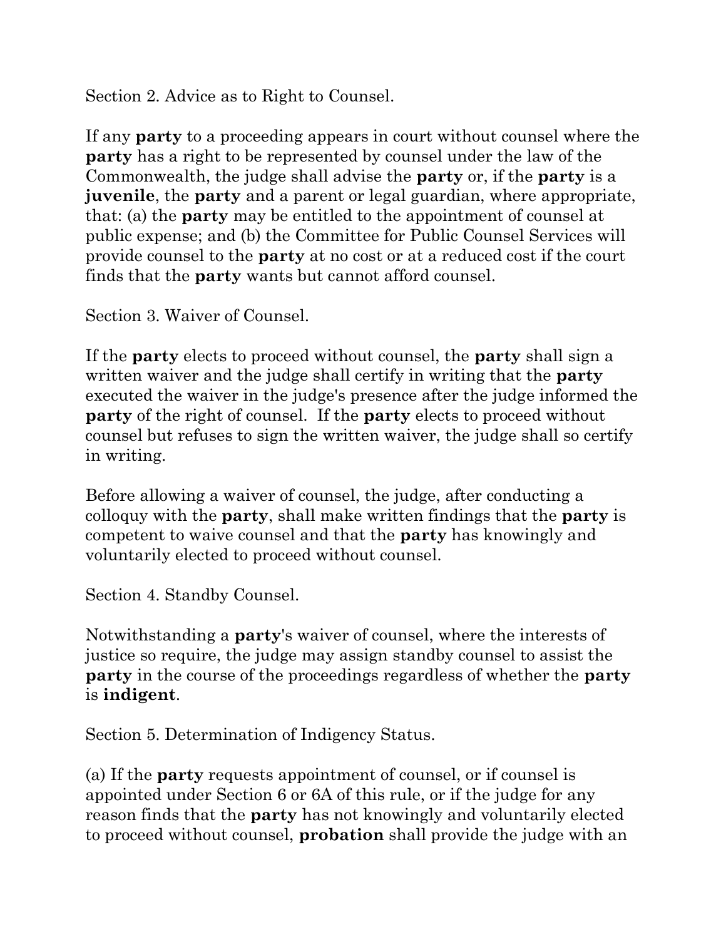Section 2. Advice as to Right to Counsel.

If any **party** to a proceeding appears in court without counsel where the **party** has a right to be represented by counsel under the law of the Commonwealth, the judge shall advise the **party** or, if the **party** is a **juvenile**, the **party** and a parent or legal guardian, where appropriate, that: (a) the **party** may be entitled to the appointment of counsel at public expense; and (b) the Committee for Public Counsel Services will provide counsel to the **party** at no cost or at a reduced cost if the court finds that the **party** wants but cannot afford counsel.

Section 3. Waiver of Counsel.

If the **party** elects to proceed without counsel, the **party** shall sign a written waiver and the judge shall certify in writing that the **party** executed the waiver in the judge's presence after the judge informed the **party** of the right of counsel. If the **party** elects to proceed without counsel but refuses to sign the written waiver, the judge shall so certify in writing.

Before allowing a waiver of counsel, the judge, after conducting a colloquy with the **party**, shall make written findings that the **party** is competent to waive counsel and that the **party** has knowingly and voluntarily elected to proceed without counsel.

Section 4. Standby Counsel.

Notwithstanding a **party**'s waiver of counsel, where the interests of justice so require, the judge may assign standby counsel to assist the **party** in the course of the proceedings regardless of whether the **party** is **indigent**.

Section 5. Determination of Indigency Status.

(a) If the **party** requests appointment of counsel, or if counsel is appointed under Section 6 or 6A of this rule, or if the judge for any reason finds that the **party** has not knowingly and voluntarily elected to proceed without counsel, **probation** shall provide the judge with an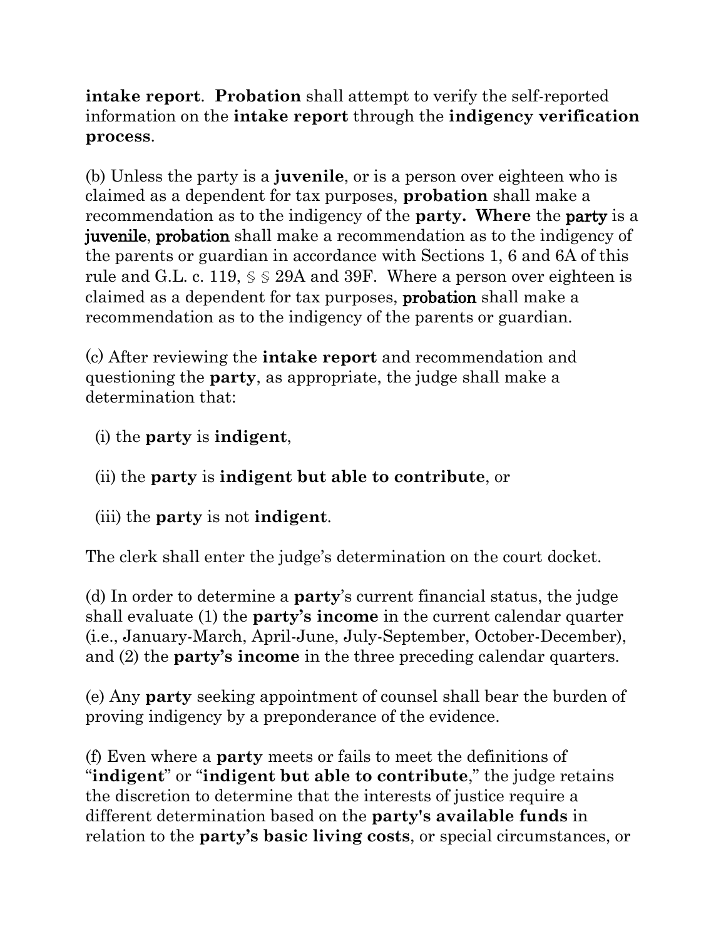**intake report**. **Probation** shall attempt to verify the self-reported information on the **intake report** through the **indigency verification process**.

(b) Unless the party is a **juvenile**, or is a person over eighteen who is claimed as a dependent for tax purposes, **probation** shall make a recommendation as to the indigency of the **party. Where** the party is a juvenile, probation shall make a recommendation as to the indigency of the parents or guardian in accordance with Sections 1, 6 and 6A of this rule and G.L. c. 119, § § 29A and 39F. Where a person over eighteen is claimed as a dependent for tax purposes, probation shall make a recommendation as to the indigency of the parents or guardian.

(c) After reviewing the **intake report** and recommendation and questioning the **party**, as appropriate, the judge shall make a determination that:

- (i) the **party** is **indigent**,
- (ii) the **party** is **indigent but able to contribute**, or
- (iii) the **party** is not **indigent**.

The clerk shall enter the judge's determination on the court docket.

(d) In order to determine a **party**'s current financial status, the judge shall evaluate (1) the **party's income** in the current calendar quarter (i.e., January-March, April-June, July-September, October-December), and (2) the **party's income** in the three preceding calendar quarters.

(e) Any **party** seeking appointment of counsel shall bear the burden of proving indigency by a preponderance of the evidence.

(f) Even where a **party** meets or fails to meet the definitions of "**indigent**" or "**indigent but able to contribute**," the judge retains the discretion to determine that the interests of justice require a different determination based on the **party's available funds** in relation to the **party's basic living costs**, or special circumstances, or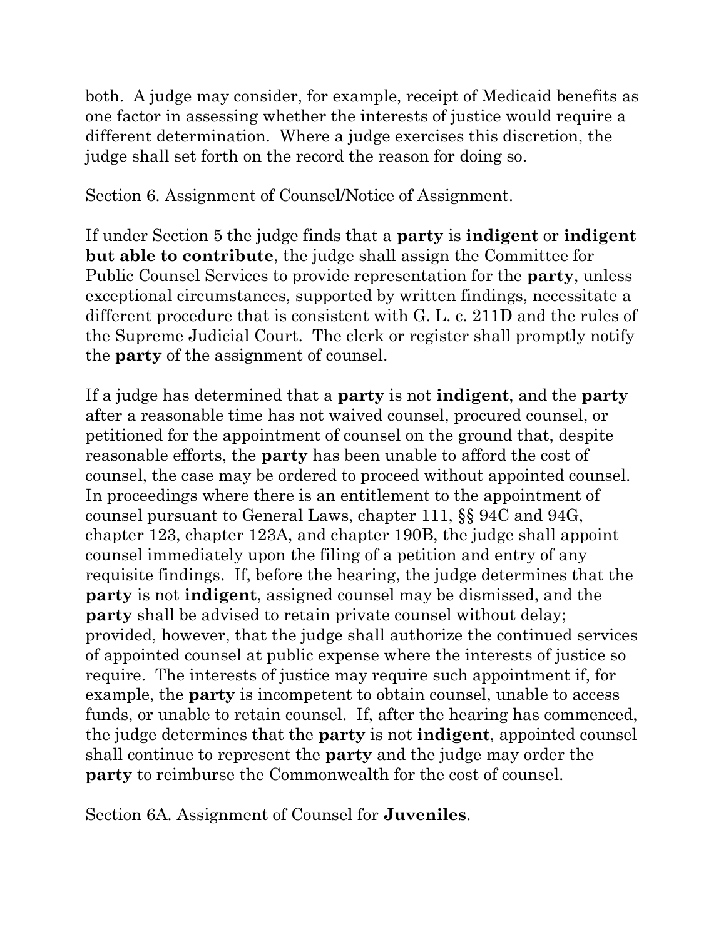both. A judge may consider, for example, receipt of Medicaid benefits as one factor in assessing whether the interests of justice would require a different determination. Where a judge exercises this discretion, the judge shall set forth on the record the reason for doing so.

Section 6. Assignment of Counsel/Notice of Assignment.

If under Section 5 the judge finds that a **party** is **indigent** or **indigent but able to contribute**, the judge shall assign the Committee for Public Counsel Services to provide representation for the **party**, unless exceptional circumstances, supported by written findings, necessitate a different procedure that is consistent with G. L. c. 211D and the rules of the Supreme Judicial Court. The clerk or register shall promptly notify the **party** of the assignment of counsel.

If a judge has determined that a **party** is not **indigent**, and the **party**  after a reasonable time has not waived counsel, procured counsel, or petitioned for the appointment of counsel on the ground that, despite reasonable efforts, the **party** has been unable to afford the cost of counsel, the case may be ordered to proceed without appointed counsel. In proceedings where there is an entitlement to the appointment of counsel pursuant to General Laws, chapter 111, §§ 94C and 94G, chapter 123, chapter 123A, and chapter 190B, the judge shall appoint counsel immediately upon the filing of a petition and entry of any requisite findings. If, before the hearing, the judge determines that the **party** is not **indigent**, assigned counsel may be dismissed, and the **party** shall be advised to retain private counsel without delay; provided, however, that the judge shall authorize the continued services of appointed counsel at public expense where the interests of justice so require. The interests of justice may require such appointment if, for example, the **party** is incompetent to obtain counsel, unable to access funds, or unable to retain counsel. If, after the hearing has commenced, the judge determines that the **party** is not **indigent**, appointed counsel shall continue to represent the **party** and the judge may order the **party** to reimburse the Commonwealth for the cost of counsel.

Section 6A. Assignment of Counsel for **Juveniles**.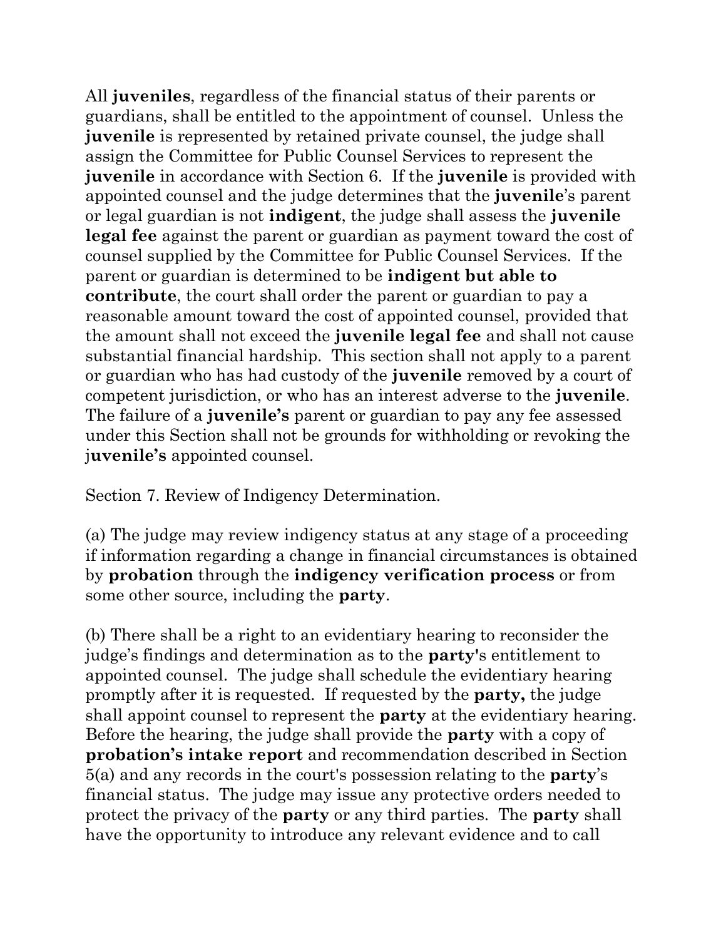All **juveniles**, regardless of the financial status of their parents or guardians, shall be entitled to the appointment of counsel. Unless the **juvenile** is represented by retained private counsel, the judge shall assign the Committee for Public Counsel Services to represent the **juvenile** in accordance with Section 6. If the **juvenile** is provided with appointed counsel and the judge determines that the **juvenile**'s parent or legal guardian is not **indigent**, the judge shall assess the **juvenile legal fee** against the parent or guardian as payment toward the cost of counsel supplied by the Committee for Public Counsel Services. If the parent or guardian is determined to be **indigent but able to contribute**, the court shall order the parent or guardian to pay a reasonable amount toward the cost of appointed counsel, provided that the amount shall not exceed the **juvenile legal fee** and shall not cause substantial financial hardship. This section shall not apply to a parent or guardian who has had custody of the **juvenile** removed by a court of competent jurisdiction, or who has an interest adverse to the **juvenile**. The failure of a **juvenile's** parent or guardian to pay any fee assessed under this Section shall not be grounds for withholding or revoking the j**uvenile's** appointed counsel.

Section 7. Review of Indigency Determination.

(a) The judge may review indigency status at any stage of a proceeding if information regarding a change in financial circumstances is obtained by **probation** through the **indigency verification process** or from some other source, including the **party**.

(b) There shall be a right to an evidentiary hearing to reconsider the judge's findings and determination as to the **party'**s entitlement to appointed counsel. The judge shall schedule the evidentiary hearing promptly after it is requested. If requested by the **party,** the judge shall appoint counsel to represent the **party** at the evidentiary hearing. Before the hearing, the judge shall provide the **party** with a copy of **probation's intake report** and recommendation described in Section 5(a) and any records in the court's possession relating to the **party**'s financial status. The judge may issue any protective orders needed to protect the privacy of the **party** or any third parties. The **party** shall have the opportunity to introduce any relevant evidence and to call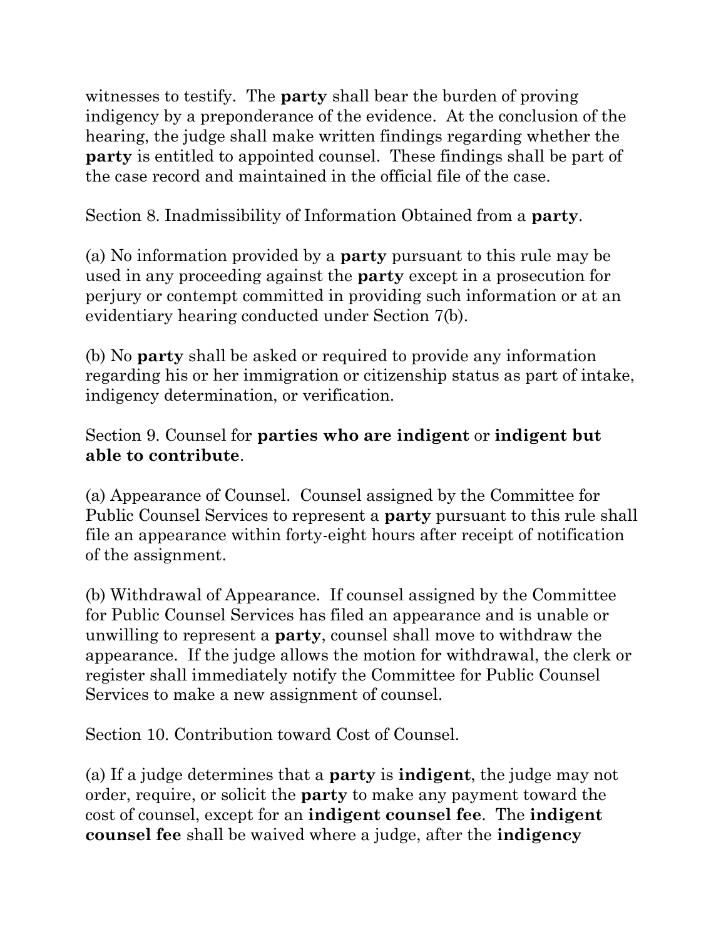witnesses to testify. The **party** shall bear the burden of proving indigency by a preponderance of the evidence. At the conclusion of the hearing, the judge shall make written findings regarding whether the **party** is entitled to appointed counsel. These findings shall be part of the case record and maintained in the official file of the case.

Section 8. Inadmissibility of Information Obtained from a **party**.

(a) No information provided by a **party** pursuant to this rule may be used in any proceeding against the **party** except in a prosecution for perjury or contempt committed in providing such information or at an evidentiary hearing conducted under Section 7(b).

(b) No **party** shall be asked or required to provide any information regarding his or her immigration or citizenship status as part of intake, indigency determination, or verification.

# Section 9. Counsel for **parties who are indigent** or **indigent but able to contribute**.

(a) Appearance of Counsel. Counsel assigned by the Committee for Public Counsel Services to represent a **party** pursuant to this rule shall file an appearance within forty-eight hours after receipt of notification of the assignment.

(b) Withdrawal of Appearance. If counsel assigned by the Committee for Public Counsel Services has filed an appearance and is unable or unwilling to represent a **party**, counsel shall move to withdraw the appearance. If the judge allows the motion for withdrawal, the clerk or register shall immediately notify the Committee for Public Counsel Services to make a new assignment of counsel.

Section 10. Contribution toward Cost of Counsel.

(a) If a judge determines that a **party** is **indigent**, the judge may not order, require, or solicit the **party** to make any payment toward the cost of counsel, except for an **indigent counsel fee**. The **indigent counsel fee** shall be waived where a judge, after the **indigency**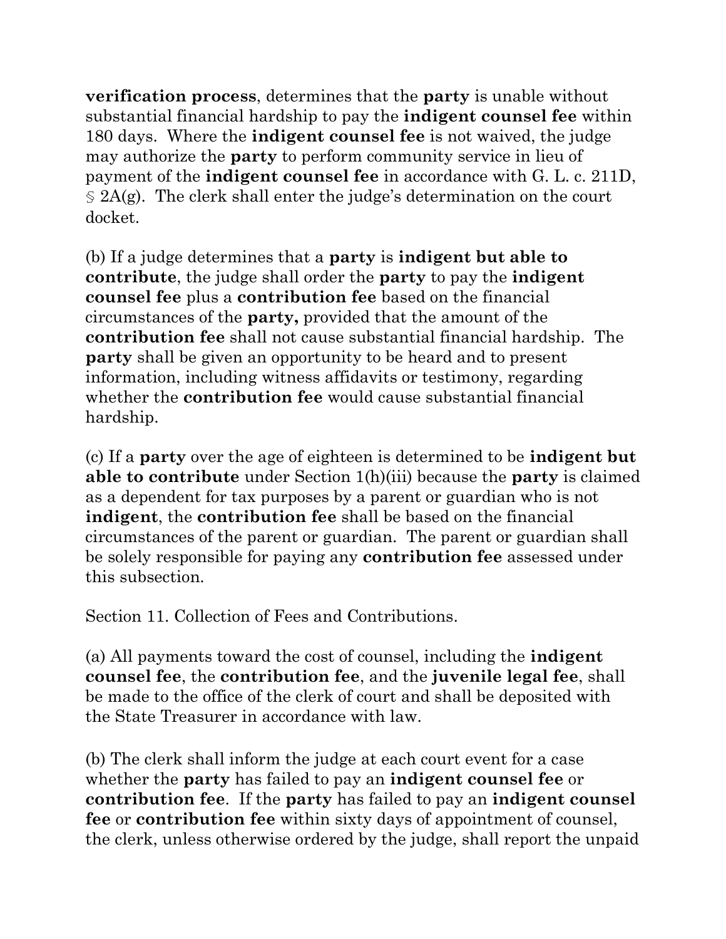**verification process**, determines that the **party** is unable without substantial financial hardship to pay the **indigent counsel fee** within 180 days. Where the **indigent counsel fee** is not waived, the judge may authorize the **party** to perform community service in lieu of payment of the **indigent counsel fee** in accordance with G. L. c. 211D,  $\leq 2A(g)$ . The clerk shall enter the judge's determination on the court docket.

(b) If a judge determines that a **party** is **indigent but able to contribute**, the judge shall order the **party** to pay the **indigent counsel fee** plus a **contribution fee** based on the financial circumstances of the **party,** provided that the amount of the **contribution fee** shall not cause substantial financial hardship. The **party** shall be given an opportunity to be heard and to present information, including witness affidavits or testimony, regarding whether the **contribution fee** would cause substantial financial hardship.

(c) If a **party** over the age of eighteen is determined to be **indigent but able to contribute** under Section 1(h)(iii) because the **party** is claimed as a dependent for tax purposes by a parent or guardian who is not **indigent**, the **contribution fee** shall be based on the financial circumstances of the parent or guardian. The parent or guardian shall be solely responsible for paying any **contribution fee** assessed under this subsection.

Section 11. Collection of Fees and Contributions.

(a) All payments toward the cost of counsel, including the **indigent counsel fee**, the **contribution fee**, and the **juvenile legal fee**, shall be made to the office of the clerk of court and shall be deposited with the State Treasurer in accordance with law.

(b) The clerk shall inform the judge at each court event for a case whether the **party** has failed to pay an **indigent counsel fee** or **contribution fee**. If the **party** has failed to pay an **indigent counsel fee** or **contribution fee** within sixty days of appointment of counsel, the clerk, unless otherwise ordered by the judge, shall report the unpaid